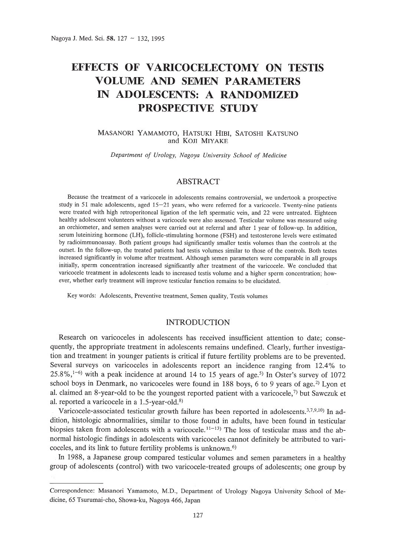# **EFFECTS OF VARICOCELECTOMY ON TESTIS VOLUME AND SEMEN PARAMETERS IN ADOLESCENTS: A RANDOMIZED PROSPECTIVE STUDY**

## MASANORI YAMAMOTO, HATSUKI HIEI, SATOSHI KATSUNO and KOJI MIYAKE

*Department of Urology, Nagoya University School of Medicine*

# ABSTRACT

Because the treatment of a varicocele in adolescents remains controversial, we undertook a prospective study in 51 male adolescents, aged  $15-21$  years, who were referred for a varicocele. Twenty-nine patients were treated with high retroperitoneal ligation of the left spermatic vein, and 22 were untreated. Eighteen healthy adolescent volunteers without a varicocele were also assessed. Testicular volume was measured using an orchiometer, and semen analyses were carried out at referral and after 1 year of follow-up. In addition, serum luteinizing hormone (LH), follicle-stimulating hormone (FSH) and testosterone levels were estimated by radioimmunoassay. Both patient groups had significantly smaller testis volumes than the controls at the outset. In the follow-up, the treated patients had testis volumes similar to those of the controls. Both testes increased significantly in volume after treatment. Although semen parameters were comparable in all groups initially, sperm concentration increased significantly after treatment of the varicocele. We concluded that varicocele treatment in adolescents leads to increased testis volume and a higher sperm concentration; however, whether early treatment will improve testicular function remains to be elucidated.

Key words: Adolescents, Preventive treatment, Semen quality, Testis volumes

## INTRODUCTION

Research on varicoceles in adolescents has received insufficient attention to date; consequently, the appropriate treatment in adolescents remains undefined. Clearly, further investigation and treatment in younger patients is critical if future fertility problems are to be prevented. Several surveys on varicoceles in adolescents report an incidence ranging from 12.4% to  $25.8\%,$ <sup>1-6)</sup> with a peak incidence at around 14 to 15 years of age.<sup>5)</sup> In Oster's survey of 1072 school boys in Denmark, no varicoceles were found in  $188$  boys, 6 to 9 years of age.<sup>2)</sup> Lyon et al. claimed an 8-year-old to be the youngest reported patient with a varicocele, $7$ ) but Sawczuk et al. reported a varicocele in a 1.5-year-old.8)

Varicocele-associated testicular growth failure has been reported in adolescents.<sup>3,7,9,10</sup>) In addition, histologic abnormalities, similar to those found in adults, have been found in testicular biopsies taken from adolescents with a varicocele.<sup>11-13</sup> The loss of testicular mass and the abnormal histologic findings in adolescents with varicoceles cannot definitely be attributed to varicoceles, and its link to future fertility problems is unknown.<sup>6)</sup>

In 1988, a Japanese group compared testicular volumes and semen parameters in a healthy group of adolescents (control) with two varicocele-treated groups of adolescents; one group by

Correspondence: Masanori Yamamoto, M.D., Department of Urology Nagoya University School of Medicine, 65 Tsurumai-cho, Showa-ku, Nagoya 466, Japan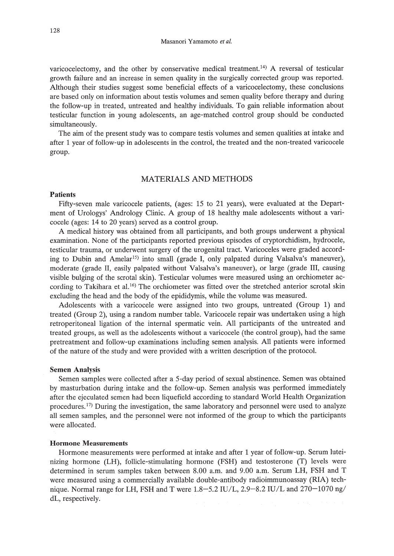varicocelectomy, and the other by conservative medical treatment.<sup>14)</sup> A reversal of testicular growth failure and an increase in semen quality in the surgically corrected group was reported. Although their studies suggest some beneficial effects of a varicocelectomy, these conclusions are based only on information about testis volumes and semen quality before therapy and during the follow-up in treated, untreated and healthy individuals. To gain reliable information about testicular function in young adolescents, an age-matched control group should be conducted simultaneously.

The aim of the present study was to compare testis volumes and semen qualities at intake and after 1 year of follow-up in adolescents in the control, the treated and the non-treated varicocele group.

# MATERIALS AND METHODS

#### Patients

Fifty-seven male varicocele patients, (ages: 15 to 21 years), were evaluated at the Department of Urologys' Andrology Clinic. A group of 18 healthy male adolescents without a varicocele (ages: 14 to 20 years) served as a control group.

A medical history was obtained from all participants, and both groups underwent a physical examination. None of the participants reported previous episodes of cryptorchidism, hydrocele, testicular trauma, or underwent surgery of the urogenital tract. Varicoceles were graded according to Dubin and Amelar<sup>15)</sup> into small (grade I, only palpated during Valsalva's maneuver), moderate (grade II, easily palpated without Valsalva's maneuver), or large (grade III, causing visible bulging of the scrotal skin). Testicular volumes were measured using an orchiometer according to Takihara et al.<sup>16)</sup> The orchiometer was fitted over the stretched anterior scrotal skin excluding the head and the body of the epididymis, while the volume was measured.

Adolescents with a varicocele were assigned into two groups, untreated (Group 1) and treated (Group 2), using a random number table. Varicocele repair was undertaken using a high retroperitoneal ligation of the internal spermatic vein. All participants of the untreated and treated groups, as well as the adolescents without a varicocele (the control group), had the same pretreatment and follow-up examinations including semen analysis. All patients were informed of the nature of the study and were provided with a written description of the protocol.

#### Semen Analysis

Semen samples were collected after a 5-day period of sexual abstinence. Semen was obtained by masturbation during intake and the follow-up. Semen analysis was performed immediately after the ejeculated semen had been liquefield according to standard World Health Organization procedures.<sup>17)</sup> During the investigation, the same laboratory and personnel were used to analyze all semen samples, and the personnel were not informed of the group to which the participants were allocated.

#### Hormone Measurements

Hormone measurements were performed at intake and after 1 year of follow-up. Serum luteinizing hormone (LH), follicle-stimulating hormone (FSH) and testosterone (T) levels were determined in serum samples taken between 8.00 a.m. and 9.00 a.m. Serum LH, FSH and T were measured using a commercially available double-antibody radioimmunoassay (RIA) technique. Normal range for LH, FSH and T were 1.8-5.2 IU/L, 2.9-8.2 IU/L and 270-1070 ng/ dL, respectively.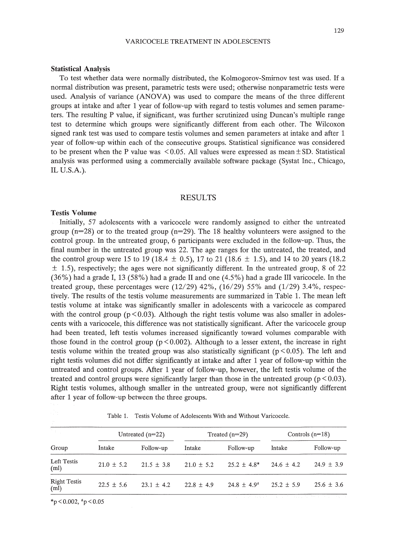#### **Statistical Analysis**

To test whether data were normally distributed, the Kolmogorov-Smirnov test was used. If a normal distribution was present, parametric tests were used; otherwise nonparametric tests were used. Analysis of variance (ANOVA) was used to compare the means of the three different groups at intake and after 1 year of follow-up with regard to testis volumes and semen parameters. The resulting P value, if significant, was further scrutinized using Duncan's multiple range test to determine which groups were significantly different from each other. The Wilcoxon signed rank test was used to compare testis volumes and semen parameters at intake and after 1 year of follow-up within each of the consecutive groups. Statistical significance was considered to be present when the P value was  $\leq 0.05$ . All values were expressed as mean  $\pm$  SD. Statistical analysis was performed using a commercially available software package (Systat Inc., Chicago, IL U.S.A.).

## RESULTS

## **Testis Volume**

Initially, 57 adolescents with a varicocele were randomly assigned to either the untreated group ( $n=28$ ) or to the treated group ( $n=29$ ). The 18 healthy volunteers were assigned to the control group. In the untreated group, 6 participants were excluded in the follow-up. Thus, the final number in the untreated group was 22. The age ranges for the untreated, the treated, and the control group were 15 to 19 (18.4  $\pm$  0.5), 17 to 21 (18.6  $\pm$  1.5), and 14 to 20 years (18.2)  $\pm$  1.5), respectively; the ages were not significantly different. In the untreated group, 8 of 22 (36%) had a grade **1,13** (58%) had a grade II and one (4.5%) had a grade III varicocele. In the treated group, these percentages were  $(12/29)$  42%,  $(16/29)$  55% and  $(1/29)$  3.4%, respectively. The results of the testis volume measurements are summarized in Table 1. The mean left testis volume at intake was significantly smaller in adolescents with a varicocele as compared with the control group ( $p \le 0.03$ ). Although the right testis volume was also smaller in adolescents with a varicocele, this difference was not statistically significant. After the varicocele group had been treated, left testis volumes increased significantly toward volumes comparable with those found in the control group ( $p < 0.002$ ). Although to a lesser extent, the increase in right testis volume within the treated group was also statistically significant ( $p \le 0.05$ ). The left and right testis volumes did not differ significantly at intake and after 1 year of follow-up within the untreated and control groups. After 1 year of follow-up, however, the left testis volume of the treated and control groups were significantly larger than those in the untreated group ( $p < 0.03$ ). Right testis volumes, although smaller in the untreated group, were not significantly different after 1 year of follow-up between the three groups.

|  |  |  | Table 1. Testis Volume of Adolescents With and Without Varicocele. |  |  |  |
|--|--|--|--------------------------------------------------------------------|--|--|--|
|--|--|--|--------------------------------------------------------------------|--|--|--|

| in an I<br>Group            | Untreated $(n=22)$ |                | Treated $(n=29)$ |                  | Controls $(n=18)$ |                |
|-----------------------------|--------------------|----------------|------------------|------------------|-------------------|----------------|
|                             | Intake             | Follow-up      | Intake           | Follow-up        | Intake            | Follow-up      |
| Left Testis<br>(ml)         | $21.0 \pm 5.2$     | $21.5 + 3.8$   | $21.0 \pm 5.2$   | $25.2 + 4.8*$    | $24.6 + 4.2$      | $24.9 \pm 3.9$ |
| <b>Right Testis</b><br>(ml) | $22.5 \pm 5.6$     | $23.1 \pm 4.2$ | $22.8 \pm 4.9$   | $24.8 \pm 4.9^*$ | $25.2 \pm 5.9$    | $25.6 \pm 3.6$ |

 $*$ p < 0.002,  $*$ p < 0.05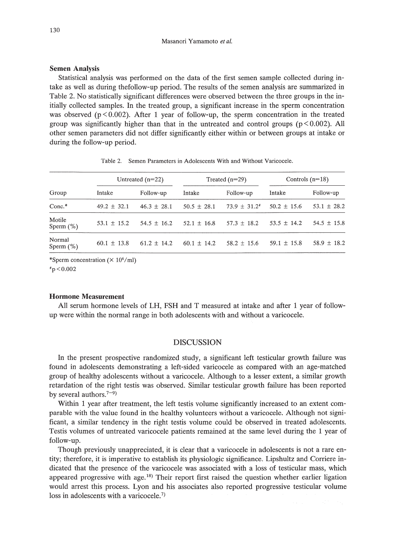#### Masanori Yamamoto *et at.*

## **Semen Analysis**

Statistical analysis was performed on the data of the first semen sample collected during intake as well as during thefollow-up period. The results of the semen analysis are summarized in Table 2. No statistically significant differences were observed between the three groups in the initially collected samples. **In** the treated group, a significant increase in the sperm concentration was observed ( $p \le 0.002$ ). After 1 year of follow-up, the sperm concentration in the treated group was significantly higher than that in the untreated and control groups ( $p \le 0.002$ ). All other semen parameters did not differ significantly either within or between groups at intake or during the follow-up period.

| Group    | Untreated $(n=22)$ |                 | Treated $(n=29)$ |                   | Controls $(n=18)$ |                 |
|----------|--------------------|-----------------|------------------|-------------------|-------------------|-----------------|
|          | Intake             | Follow-up       | Intake           | Follow-up         | Intake            | Follow-up       |
| $Conc.*$ | $49.2 \pm 32.1$    | $46.3 \pm 28.1$ | $50.5 \pm 28.1$  | $73.9 \pm 31.2^*$ | $50.2 \pm 15.6$   | $53.1 \pm 28.2$ |

Motile 53.1 ± 15.2 54.5 ± 16.2 52.1 ± 16.8 57.3 ± 18.2 53.5 ± 14.2 54.5 ± 15.8<br>Sperm (%)

Normal 60.1 ± 13.8 61.2 ± 14.2 60.1 ± 14.2 58.2 ± 15.6 59.1 ± 15.8 58.9 ± 18.2

Table 2. Semen Parameters in Adolescents With and Without Varicocele.

\*Sperm concentration  $(\times 10^6/\text{ml})$ 

 $p$  < 0.002

#### **Hormone Measurement**

All serum hormone levels of LH, FSH and T measured at intake and after 1 year of followup were within the normal range in both adolescents with and without a varicocele.

## DISCUSSION

**In** the present prospective randomized study, a significant left testicular growth failure was found in adolescents demonstrating a left-sided varicocele as compared with an age-matched group of healthy adolescents without a varicocele. Although to a lesser extent, a similar growth retardation of the right testis was observed. Similar testicular growth failure has been reported by several authors.<sup> $7-9$ </sup>)

Within 1 year after treatment, the left testis volume significantly increased to an extent comparable with the value found in the healthy volunteers without a varicocele. Although not significant, a similar tendency in the right testis volume could be observed in treated adolescents. Testis volumes of untreated varicocele patients remained at the same level during the 1 year of follow-up.

Though previously unappreciated, it is clear that a varicocele in adolescents is not a rare entity; therefore, it is imperative to establish its physiologic significance. Lipshultz and Corriere indicated that the presence of the varicocele was associated with a loss of testicular mass, which appeared progressive with age.<sup>18)</sup> Their report first raised the question whether earlier ligation would arrest this process. Lyon and his associates also reported progressive testicular volume loss in adolescents with a varicocele.<sup>7)</sup>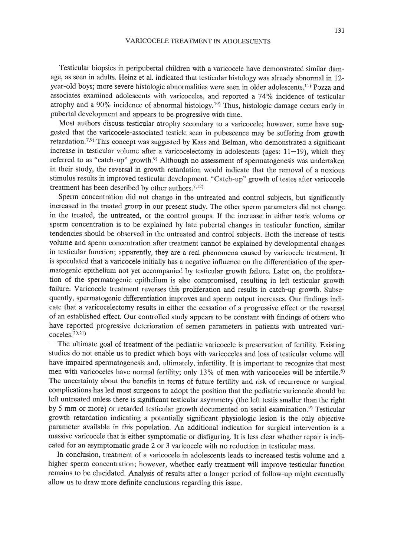Testicular biopsies in peripubertal children with a varicocele have demonstrated similar damage, as seen in adults. Heinz et al. indicated that testicular histology was already abnormal in 12 year-old boys; more severe histologic abnormalities were seen in older adolescents.!!) Pozza and associates examined adolescents with varicoceles, and reported a 74% incidence of testicular atrophy and a 90% incidence of abnormal histology.19) Thus, histologic damage occurs early in pubertal development and appears to be progressive with time.

Most authors discuss testicular atrophy secondary to a varicocele; however, some have suggested that the varicocele-associated testicle seen in pubescence may be suffering from growth retardation.<sup>7,9)</sup> This concept was suggested by Kass and Belman, who demonstrated a significant increase in testicular volume after a varicocelectomy in adolescents (ages:  $11-19$ ), which they referred to as "catch-up" growth.<sup>9)</sup> Although no assessment of spermatogenesis was undertaken in their study, the reversal in growth retardation would indicate that the removal of a noxious stimulus results in improved testicular development. "Catch-up" growth of testes after varicocele treatment has been described by other authors.<sup>7,12)</sup>

Sperm concentration did not change in the untreated and control subjects, but significantly increased in the treated group in our present study. The other sperm parameters did not change in the treated, the untreated, or the control groups. If the increase in either testis volume or sperm concentration is to be explained by late pubertal changes in testicular function, similar tendencies should be observed in the untreated and control subjects. Both the increase of testis volume and sperm concentration after treatment cannot be explained by developmental changes in testicular function; apparently, they are a real phenomena caused by varicocele treatment. It is speculated that a varicocele initially has a negative influence on the differentiation of the spermatogenic epithelium not yet accompanied by testicular growth failure. Later on, the proliferation of the spermatogenic epithelium is also compromised, resulting in left testicular growth failure. Varicocele treatment reverses this proliferation and results in catch-up growth. Subsequently, spermatogenic differentiation improves and sperm output increases. Our findings indicate that a varicocelectomy results in either the cessation of a progressive effect or the reversal of an established effect. Our controlled study appears to be constant with findings of others who have reported progressive deterioration of semen parameters in patients with untreated varicoceles. 20,21)

The ultimate goal of treatment of the pediatric varicocele is preservation of fertility. Existing studies do not enable us to predict which boys with varicoceles and loss of testicular volume will have impaired spermatogenesis and, ultimately, infertility. It is important to recognize that most men with varicoceles have normal fertility; only 13% of men with varicoceles will be infertile.<sup>6)</sup> The uncertainty about the benefits in terms of future fertility and risk of recurrence or surgical complications has led most surgeons to adopt the position that the pediatric varicocele should be left untreated unless there is significant testicular asymmetry (the left testis smaller than the right by 5 mm or more) or retarded testicular growth documented on serial examination.<sup>9)</sup> Testicular growth retardation indicating a potentially significant physiologic lesion is the only objective parameter available in this population. An additional indication for surgical intervention is a massive varicocele that is either symptomatic or disfiguring. It is less clear whether repair is indicated for an asymptomatic grade 2 or 3 varicocele with no reduction in testicular mass.

In conclusion, treatment of a varicocele in adolescents leads to increased testis volume and a higher sperm concentration; however, whether early treatment will improve testicular function remains to be elucidated. Analysis of results after a longer period of follow-up might eventually allow us to draw more definite conclusions regarding this issue.